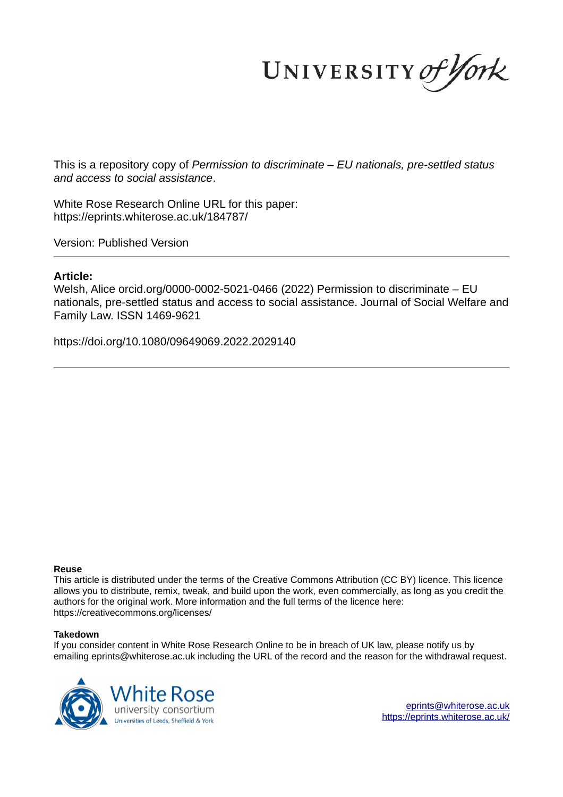UNIVERSITY of York

This is a repository copy of *Permission to discriminate – EU nationals, pre-settled status and access to social assistance*.

White Rose Research Online URL for this paper: https://eprints.whiterose.ac.uk/184787/

Version: Published Version

# **Article:**

Welsh, Alice orcid.org/0000-0002-5021-0466 (2022) Permission to discriminate – EU nationals, pre-settled status and access to social assistance. Journal of Social Welfare and Family Law. ISSN 1469-9621

https://doi.org/10.1080/09649069.2022.2029140

## **Reuse**

This article is distributed under the terms of the Creative Commons Attribution (CC BY) licence. This licence allows you to distribute, remix, tweak, and build upon the work, even commercially, as long as you credit the authors for the original work. More information and the full terms of the licence here: https://creativecommons.org/licenses/

## **Takedown**

If you consider content in White Rose Research Online to be in breach of UK law, please notify us by emailing eprints@whiterose.ac.uk including the URL of the record and the reason for the withdrawal request.



eprints@whiterose.ac.uk https://eprints.whiterose.ac.uk/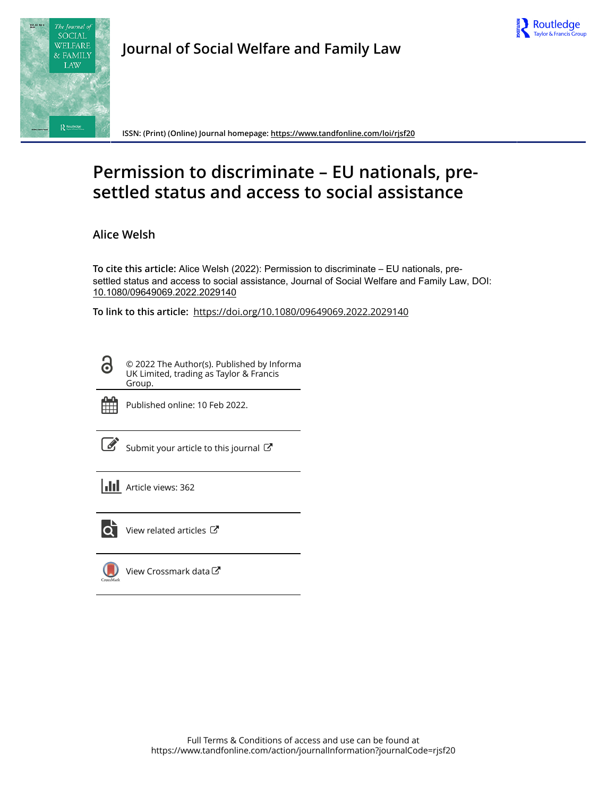



**Journal of Social Welfare and Family Law**

**ISSN: (Print) (Online) Journal homepage: https://www.tandfonline.com/loi/rjsf20**

# **Permission to discriminate – EU nationals, presettled status and access to social assistance**

**Alice Welsh**

**To cite this article:** Alice Welsh (2022): Permission to discriminate – EU nationals, presettled status and access to social assistance, Journal of Social Welfare and Family Law, DOI: 10.1080/09649069.2022.2029140

**To link to this article:** https://doi.org/10.1080/09649069.2022.2029140

© 2022 The Author(s). Published by Informa UK Limited, trading as Taylor & Francis Group.



ര

Published online: 10 Feb 2022.

Submit your article to this journal  $\mathbb{Z}$ 

**III** Article views: 362



 $\overline{Q}$  View related articles  $\overline{C}$ 

View Crossmark data $\mathbb{Z}$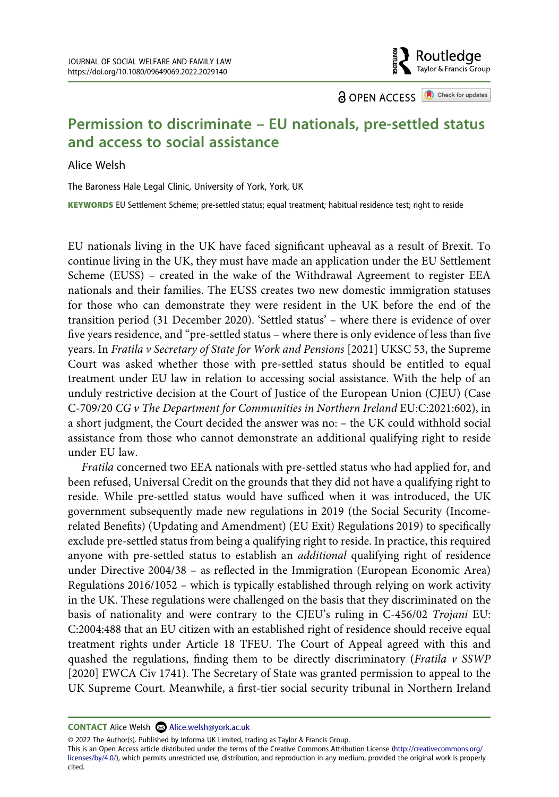**a** OPEN ACCESS **a** Check for updates

Routledae Taylor & Francis Group

# **Permission to discriminate – EU nationals, pre-settled status and access to social assistance**

#### Alice Welsh

The Baroness Hale Legal Clinic, University of York, York, UK

KEYWORDS EU Settlement Scheme; pre-settled status; equal treatment; habitual residence test; right to reside

EU nationals living in the UK have faced significant upheaval as a result of Brexit. To continue living in the UK, they must have made an application under the EU Settlement Scheme (EUSS) – created in the wake of the Withdrawal Agreement to register EEA nationals and their families. The EUSS creates two new domestic immigration statuses for those who can demonstrate they were resident in the UK before the end of the transition period (31 December 2020). 'Settled status' – where there is evidence of over five years residence, and "pre-settled status – where there is only evidence of less than five years. In Fratila v Secretary of State for Work and Pensions [2021] UKSC 53, the Supreme Court was asked whether those with pre-settled status should be entitled to equal treatment under EU law in relation to accessing social assistance. With the help of an unduly restrictive decision at the Court of Justice of the European Union (CJEU) (Case C-709/20 CG v The Department for Communities in Northern Ireland EU:C:2021:602), in a short judgment, the Court decided the answer was no: – the UK could withhold social assistance from those who cannot demonstrate an additional qualifying right to reside under EU law.

Fratila concerned two EEA nationals with pre-settled status who had applied for, and been refused, Universal Credit on the grounds that they did not have a qualifying right to reside. While pre-settled status would have sufficed when it was introduced, the UK government subsequently made new regulations in 2019 (the Social Security (Incomerelated Benefits) (Updating and Amendment) (EU Exit) Regulations 2019) to specifically exclude pre-settled status from being a qualifying right to reside. In practice, this required anyone with pre-settled status to establish an *additional* qualifying right of residence under Directive 2004/38 – as reflected in the Immigration (European Economic Area) Regulations 2016/1052 – which is typically established through relying on work activity in the UK. These regulations were challenged on the basis that they discriminated on the basis of nationality and were contrary to the CJEU's ruling in C-456/02 Trojani EU: C:2004:488 that an EU citizen with an established right of residence should receive equal treatment rights under Article 18 TFEU. The Court of Appeal agreed with this and quashed the regulations, finding them to be directly discriminatory (Fratila  $v$  SSWP [2020] EWCA Civ 1741). The Secretary of State was granted permission to appeal to the UK Supreme Court. Meanwhile, a first-tier social security tribunal in Northern Ireland

© 2022 The Author(s). Published by Informa UK Limited, trading as Taylor & Francis Group.

This is an Open Access article distributed under the terms of the Creative Commons Attribution License (http://creativecommons.org/ licenses/by/4.0/), which permits unrestricted use, distribution, and reproduction in any medium, provided the original work is properly cited.

**CONTACT** Alice Welsh **Alice.welsh@york.ac.uk**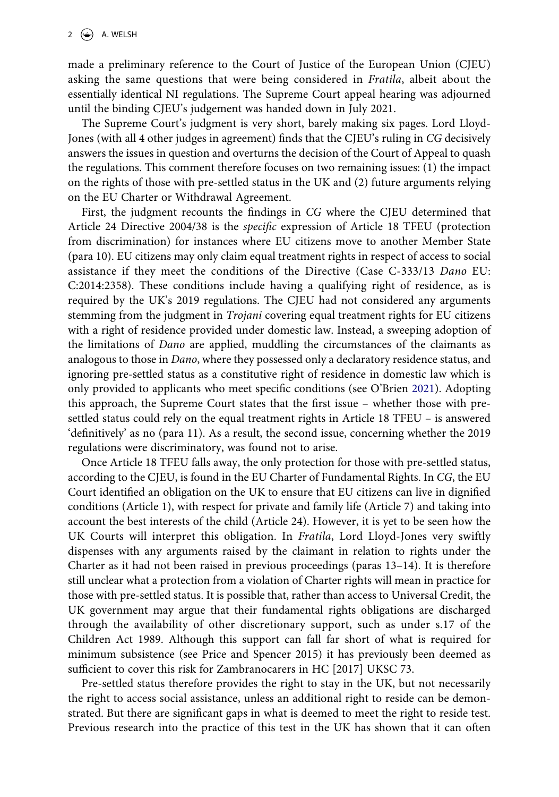made a preliminary reference to the Court of Justice of the European Union (CJEU) asking the same questions that were being considered in Fratila, albeit about the essentially identical NI regulations. The Supreme Court appeal hearing was adjourned until the binding CJEU's judgement was handed down in July 2021.

The Supreme Court's judgment is very short, barely making six pages. Lord Lloyd-Jones (with all 4 other judges in agreement) finds that the CJEU's ruling in CG decisively answers the issues in question and overturns the decision of the Court of Appeal to quash the regulations. This comment therefore focuses on two remaining issues: (1) the impact on the rights of those with pre-settled status in the UK and (2) future arguments relying on the EU Charter or Withdrawal Agreement.

First, the judgment recounts the findings in CG where the CJEU determined that Article 24 Directive 2004/38 is the specific expression of Article 18 TFEU (protection from discrimination) for instances where EU citizens move to another Member State (para 10). EU citizens may only claim equal treatment rights in respect of access to social assistance if they meet the conditions of the Directive (Case C-333/13 Dano EU: C:2014:2358). These conditions include having a qualifying right of residence, as is required by the UK's 2019 regulations. The CJEU had not considered any arguments stemming from the judgment in Trojani covering equal treatment rights for EU citizens with a right of residence provided under domestic law. Instead, a sweeping adoption of the limitations of Dano are applied, muddling the circumstances of the claimants as analogous to those in Dano, where they possessed only a declaratory residence status, and ignoring pre-settled status as a constitutive right of residence in domestic law which is only provided to applicants who meet specific conditions (see O'Brien [2021\)](#page-5-0). Adopting this approach, the Supreme Court states that the first issue – whether those with presettled status could rely on the equal treatment rights in Article 18 TFEU – is answered 'definitively' as no (para 11). As a result, the second issue, concerning whether the 2019 regulations were discriminatory, was found not to arise.

<span id="page-3-0"></span>Once Article 18 TFEU falls away, the only protection for those with pre-settled status, according to the CJEU, is found in the EU Charter of Fundamental Rights. In CG, the EU Court identified an obligation on the UK to ensure that EU citizens can live in dignified conditions (Article 1), with respect for private and family life (Article 7) and taking into account the best interests of the child (Article 24). However, it is yet to be seen how the UK Courts will interpret this obligation. In Fratila, Lord Lloyd-Jones very swiftly dispenses with any arguments raised by the claimant in relation to rights under the Charter as it had not been raised in previous proceedings (paras 13–14). It is therefore still unclear what a protection from a violation of Charter rights will mean in practice for those with pre-settled status. It is possible that, rather than access to Universal Credit, the UK government may argue that their fundamental rights obligations are discharged through the availability of other discretionary support, such as under s.17 of the Children Act 1989. Although this support can fall far short of what is required for minimum subsistence (see Price and Spencer 2015) it has previously been deemed as sufficient to cover this risk for Zambranocarers in HC [2017] UKSC 73.

Pre-settled status therefore provides the right to stay in the UK, but not necessarily the right to access social assistance, unless an additional right to reside can be demonstrated. But there are significant gaps in what is deemed to meet the right to reside test. Previous research into the practice of this test in the UK has shown that it can often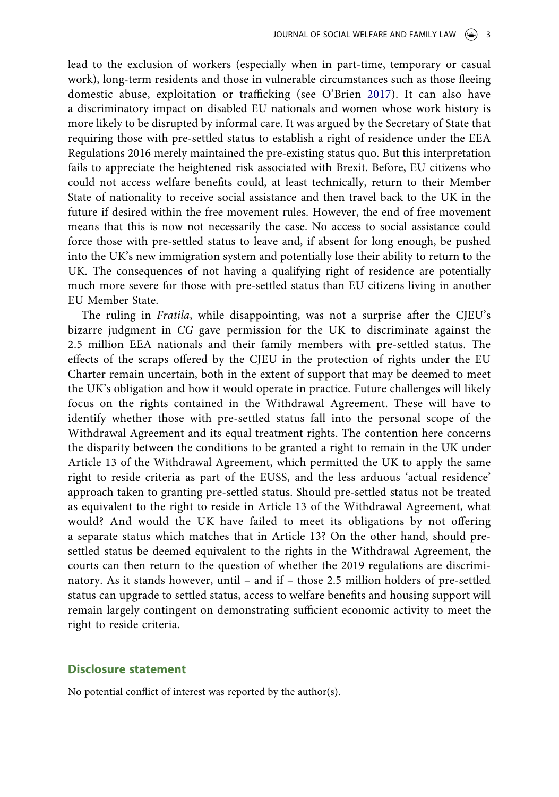<span id="page-4-0"></span>lead to the exclusion of workers (especially when in part-time, temporary or casual work), long-term residents and those in vulnerable circumstances such as those fleeing domestic abuse, exploitation or trafficking (see O'Brien [2017](#page-5-1)). It can also have a discriminatory impact on disabled EU nationals and women whose work history is more likely to be disrupted by informal care. It was argued by the Secretary of State that requiring those with pre-settled status to establish a right of residence under the EEA Regulations 2016 merely maintained the pre-existing status quo. But this interpretation fails to appreciate the heightened risk associated with Brexit. Before, EU citizens who could not access welfare benefits could, at least technically, return to their Member State of nationality to receive social assistance and then travel back to the UK in the future if desired within the free movement rules. However, the end of free movement means that this is now not necessarily the case. No access to social assistance could force those with pre-settled status to leave and, if absent for long enough, be pushed into the UK's new immigration system and potentially lose their ability to return to the UK. The consequences of not having a qualifying right of residence are potentially much more severe for those with pre-settled status than EU citizens living in another EU Member State.

The ruling in Fratila, while disappointing, was not a surprise after the CJEU's bizarre judgment in CG gave permission for the UK to discriminate against the 2.5 million EEA nationals and their family members with pre-settled status. The effects of the scraps offered by the CJEU in the protection of rights under the EU Charter remain uncertain, both in the extent of support that may be deemed to meet the UK's obligation and how it would operate in practice. Future challenges will likely focus on the rights contained in the Withdrawal Agreement. These will have to identify whether those with pre-settled status fall into the personal scope of the Withdrawal Agreement and its equal treatment rights. The contention here concerns the disparity between the conditions to be granted a right to remain in the UK under Article 13 of the Withdrawal Agreement, which permitted the UK to apply the same right to reside criteria as part of the EUSS, and the less arduous 'actual residence' approach taken to granting pre-settled status. Should pre-settled status not be treated as equivalent to the right to reside in Article 13 of the Withdrawal Agreement, what would? And would the UK have failed to meet its obligations by not offering a separate status which matches that in Article 13? On the other hand, should presettled status be deemed equivalent to the rights in the Withdrawal Agreement, the courts can then return to the question of whether the 2019 regulations are discriminatory. As it stands however, until – and if – those 2.5 million holders of pre-settled status can upgrade to settled status, access to welfare benefits and housing support will remain largely contingent on demonstrating sufficient economic activity to meet the right to reside criteria.

#### **Disclosure statement**

No potential conflict of interest was reported by the author(s).